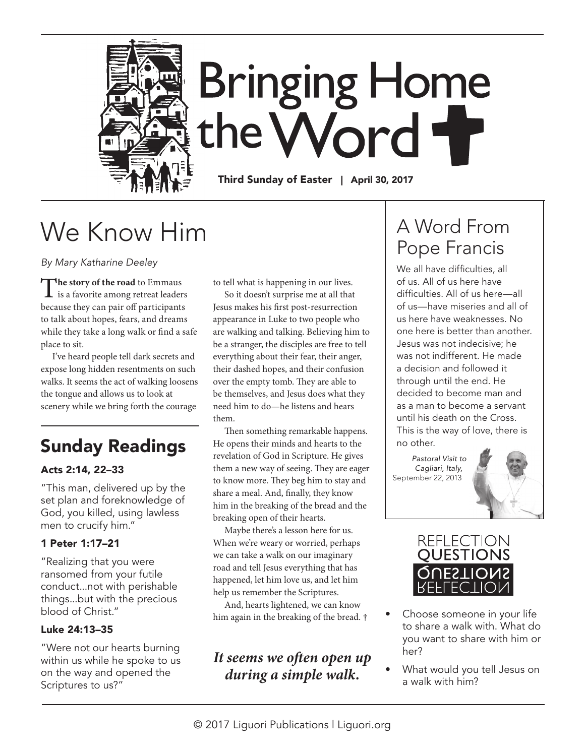

# **Bringing Home** the Word

Third Sunday of Easter | April 30, 2017

# We Know Him

*By Mary Katharine Deeley* 

The story of the road to Emmaus<br>
is a favorite among retreat leaders because they can pair off participants to talk about hopes, fears, and dreams while they take a long walk or find a safe place to sit.

I've heard people tell dark secrets and expose long hidden resentments on such walks. It seems the act of walking loosens the tongue and allows us to look at scenery while we bring forth the courage

### Sunday Readings

#### Acts 2:14, 22–33

"This man, delivered up by the set plan and foreknowledge of God, you killed, using lawless men to crucify him."

#### 1 Peter 1:17–21

"Realizing that you were ransomed from your futile conduct...not with perishable things...but with the precious blood of Christ."

#### Luke 24:13–35

"Were not our hearts burning within us while he spoke to us on the way and opened the Scriptures to us?"

to tell what is happening in our lives.

So it doesn't surprise me at all that Jesus makes his first post-resurrection appearance in Luke to two people who are walking and talking. Believing him to be a stranger, the disciples are free to tell everything about their fear, their anger, their dashed hopes, and their confusion over the empty tomb. They are able to be themselves, and Jesus does what they need him to do—he listens and hears them.

Then something remarkable happens. He opens their minds and hearts to the revelation of God in Scripture. He gives them a new way of seeing. They are eager to know more. They beg him to stay and share a meal. And, finally, they know him in the breaking of the bread and the breaking open of their hearts.

Maybe there's a lesson here for us. When we're weary or worried, perhaps we can take a walk on our imaginary road and tell Jesus everything that has happened, let him love us, and let him help us remember the Scriptures.

And, hearts lightened, we can know him again in the breaking of the bread. †

#### *It seems we often open up during a simple walk.*

### A Word From Pope Francis

We all have difficulties, all of us. All of us here have difficulties. All of us here—all of us—have miseries and all of us here have weaknesses. No one here is better than another. Jesus was not indecisive; he was not indifferent. He made a decision and followed it through until the end. He decided to become man and as a man to become a servant until his death on the Cross. This is the way of love, there is no other.

*Pastoral Visit to Cagliari, Italy,* September 22, 2013





- Choose someone in your life to share a walk with. What do you want to share with him or her?
- What would you tell Jesus on a walk with him?